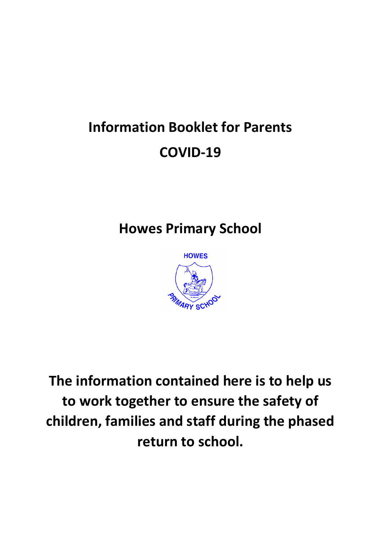# **Information Booklet for Parents COVID-19**

# **Howes Primary School**



**The information contained here is to help us to work together to ensure the safety of children, families and staff during the phased return to school.**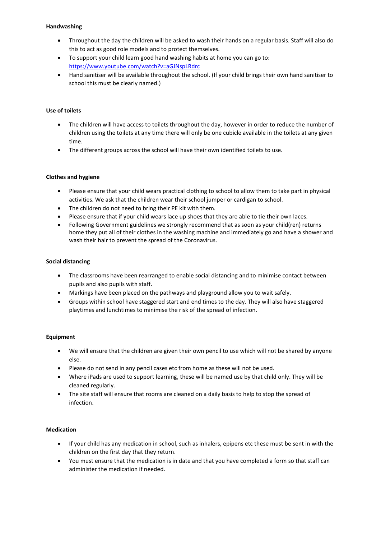#### **Handwashing**

- Throughout the day the children will be asked to wash their hands on a regular basis. Staff will also do this to act as good role models and to protect themselves.
- To support your child learn good hand washing habits at home you can go to: <https://www.youtube.com/watch?v=aGJNspLRdrc>
- Hand sanitiser will be available throughout the school. (If your child brings their own hand sanitiser to school this must be clearly named.)

#### **Use of toilets**

- The children will have access to toilets throughout the day, however in order to reduce the number of children using the toilets at any time there will only be one cubicle available in the toilets at any given time.
- The different groups across the school will have their own identified toilets to use.

#### **Clothes and hygiene**

- Please ensure that your child wears practical clothing to school to allow them to take part in physical activities. We ask that the children wear their school jumper or cardigan to school.
- The children do not need to bring their PE kit with them.
- Please ensure that if your child wears lace up shoes that they are able to tie their own laces.
- Following Government guidelines we strongly recommend that as soon as your child(ren) returns home they put all of their clothes in the washing machine and immediately go and have a shower and wash their hair to prevent the spread of the Coronavirus.

#### **Social distancing**

- The classrooms have been rearranged to enable social distancing and to minimise contact between pupils and also pupils with staff.
- Markings have been placed on the pathways and playground allow you to wait safely.
- Groups within school have staggered start and end times to the day. They will also have staggered playtimes and lunchtimes to minimise the risk of the spread of infection.

#### **Equipment**

- We will ensure that the children are given their own pencil to use which will not be shared by anyone else.
- Please do not send in any pencil cases etc from home as these will not be used.
- Where iPads are used to support learning, these will be named use by that child only. They will be cleaned regularly.
- The site staff will ensure that rooms are cleaned on a daily basis to help to stop the spread of infection.

#### **Medication**

- If your child has any medication in school, such as inhalers, epipens etc these must be sent in with the children on the first day that they return.
- You must ensure that the medication is in date and that you have completed a form so that staff can administer the medication if needed.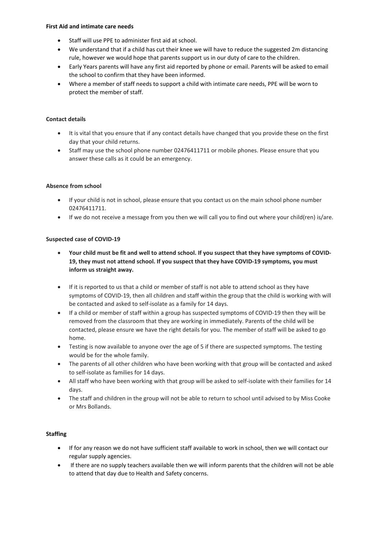#### **First Aid and intimate care needs**

- Staff will use PPE to administer first aid at school.
- We understand that if a child has cut their knee we will have to reduce the suggested 2m distancing rule, however we would hope that parents support us in our duty of care to the children.
- Early Years parents will have any first aid reported by phone or email. Parents will be asked to email the school to confirm that they have been informed.
- Where a member of staff needs to support a child with intimate care needs, PPE will be worn to protect the member of staff.

## **Contact details**

- It is vital that you ensure that if any contact details have changed that you provide these on the first day that your child returns.
- Staff may use the school phone number 02476411711 or mobile phones. Please ensure that you answer these calls as it could be an emergency.

#### **Absence from school**

- If your child is not in school, please ensure that you contact us on the main school phone number 02476411711.
- If we do not receive a message from you then we will call you to find out where your child(ren) is/are.

#### **Suspected case of COVID-19**

- Your child must be fit and well to attend school. If you suspect that they have symptoms of COVID-**19, they must not attend school. If you suspect that they have COVID-19 symptoms, you must inform us straight away.**
- If it is reported to us that a child or member of staff is not able to attend school as they have symptoms of COVID-19, then all children and staff within the group that the child is working with will be contacted and asked to self-isolate as a family for 14 days.
- If a child or member of staff within a group has suspected symptoms of COVID-19 then they will be removed from the classroom that they are working in immediately. Parents of the child will be contacted, please ensure we have the right details for you. The member of staff will be asked to go home.
- Testing is now available to anyone over the age of 5 if there are suspected symptoms. The testing would be for the whole family.
- The parents of all other children who have been working with that group will be contacted and asked to self-isolate as families for 14 days.
- All staff who have been working with that group will be asked to self-isolate with their families for 14 days.
- The staff and children in the group will not be able to return to school until advised to by Miss Cooke or Mrs Bollands.

#### **Staffing**

- If for any reason we do not have sufficient staff available to work in school, then we will contact our regular supply agencies.
- If there are no supply teachers available then we will inform parents that the children will not be able to attend that day due to Health and Safety concerns.